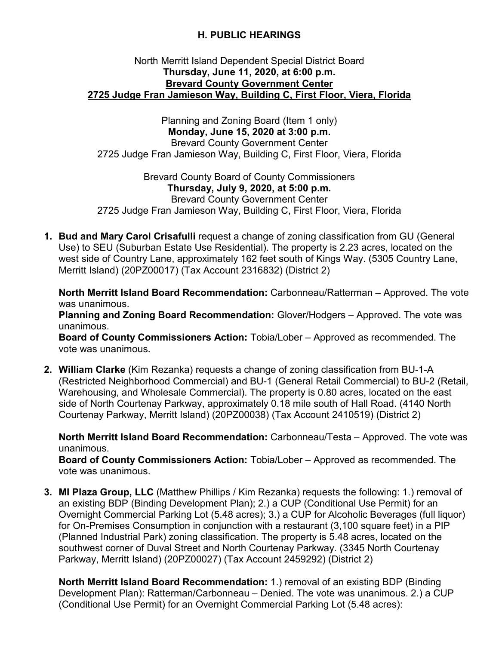## **H. PUBLIC HEARINGS**

## North Merritt Island Dependent Special District Board **Thursday, June 11, 2020, at 6:00 p.m. Brevard County Government Center 2725 Judge Fran Jamieson Way, Building C, First Floor, Viera, Florida**

Planning and Zoning Board (Item 1 only) **Monday, June 15, 2020 at 3:00 p.m.** Brevard County Government Center 2725 Judge Fran Jamieson Way, Building C, First Floor, Viera, Florida

Brevard County Board of County Commissioners **Thursday, July 9, 2020, at 5:00 p.m.** Brevard County Government Center 2725 Judge Fran Jamieson Way, Building C, First Floor, Viera, Florida

**1. Bud and Mary Carol Crisafulli** request a change of zoning classification from GU (General Use) to SEU (Suburban Estate Use Residential). The property is 2.23 acres, located on the west side of Country Lane, approximately 162 feet south of Kings Way. (5305 Country Lane, Merritt Island) (20PZ00017) (Tax Account 2316832) (District 2)

**North Merritt Island Board Recommendation:** Carbonneau/Ratterman – Approved. The vote was unanimous.

**Planning and Zoning Board Recommendation:** Glover/Hodgers – Approved. The vote was unanimous.

**Board of County Commissioners Action:** Tobia/Lober – Approved as recommended. The vote was unanimous.

**2. William Clarke** (Kim Rezanka) requests a change of zoning classification from BU-1-A (Restricted Neighborhood Commercial) and BU-1 (General Retail Commercial) to BU-2 (Retail, Warehousing, and Wholesale Commercial). The property is 0.80 acres, located on the east side of North Courtenay Parkway, approximately 0.18 mile south of Hall Road. (4140 North Courtenay Parkway, Merritt Island) (20PZ00038) (Tax Account 2410519) (District 2)

**North Merritt Island Board Recommendation:** Carbonneau/Testa – Approved. The vote was unanimous.

**Board of County Commissioners Action:** Tobia/Lober – Approved as recommended. The vote was unanimous.

**3. MI Plaza Group, LLC** (Matthew Phillips / Kim Rezanka) requests the following: 1.) removal of an existing BDP (Binding Development Plan); 2.) a CUP (Conditional Use Permit) for an Overnight Commercial Parking Lot (5.48 acres); 3.) a CUP for Alcoholic Beverages (full liquor) for On-Premises Consumption in conjunction with a restaurant (3,100 square feet) in a PIP (Planned Industrial Park) zoning classification. The property is 5.48 acres, located on the southwest corner of Duval Street and North Courtenay Parkway. (3345 North Courtenay Parkway, Merritt Island) (20PZ00027) (Tax Account 2459292) (District 2)

**North Merritt Island Board Recommendation:** 1.) removal of an existing BDP (Binding Development Plan): Ratterman/Carbonneau – Denied. The vote was unanimous. 2.) a CUP (Conditional Use Permit) for an Overnight Commercial Parking Lot (5.48 acres):